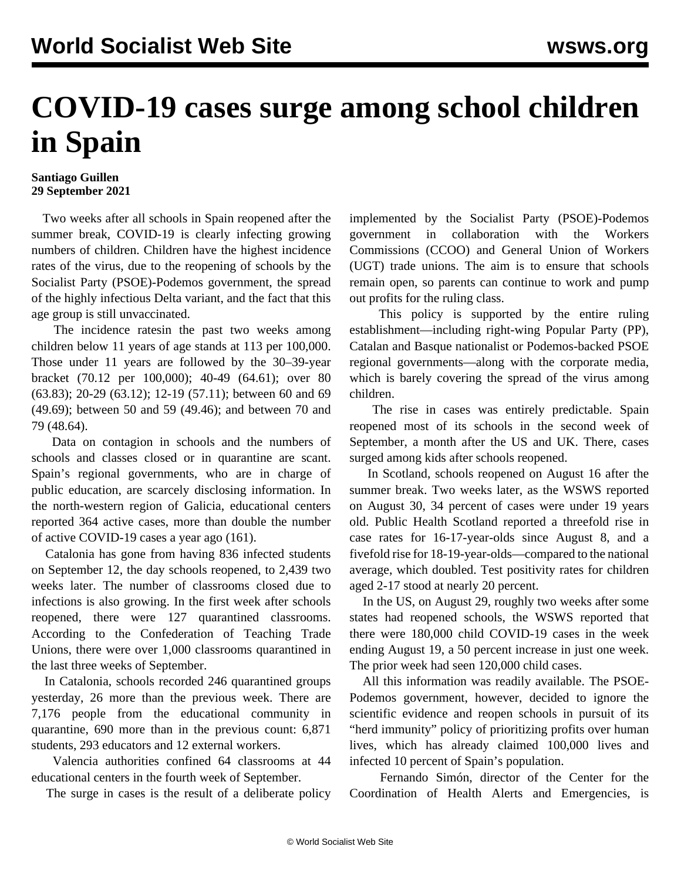## **COVID-19 cases surge among school children in Spain**

## **Santiago Guillen 29 September 2021**

 Two weeks after all schools in Spain reopened after the summer break, COVID-19 is clearly infecting growing numbers of children. Children have the highest incidence rates of the virus, due to the reopening of schools by the Socialist Party (PSOE)-Podemos government, the spread of the highly infectious Delta variant, and the fact that this age group is still unvaccinated.

 The incidence ratesin the past two weeks among children below 11 years of age stands at 113 per 100,000. Those under 11 years are followed by the 30–39-year bracket (70.12 per 100,000); 40-49 (64.61); over 80 (63.83); 20-29 (63.12); 12-19 (57.11); between 60 and 69 (49.69); between 50 and 59 (49.46); and between 70 and 79 (48.64).

 Data on contagion in schools and the numbers of schools and classes closed or in quarantine are scant. Spain's regional governments, who are in charge of public education, are scarcely disclosing information. In the north-western region of Galicia, educational centers reported 364 active cases, more than double the number of active COVID-19 cases a year ago (161).

 Catalonia has gone from having 836 infected students on September 12, the day schools reopened, to 2,439 two weeks later. The number of classrooms closed due to infections is also growing. In the first week after schools reopened, there were 127 quarantined classrooms. According to the Confederation of Teaching Trade Unions, there were over 1,000 classrooms quarantined in the last three weeks of September.

 In Catalonia, schools recorded 246 quarantined groups yesterday, 26 more than the previous week. There are 7,176 people from the educational community in quarantine, 690 more than in the previous count: 6,871 students, 293 educators and 12 external workers.

 Valencia authorities confined 64 classrooms at 44 educational centers in the fourth week of September.

The surge in cases is the result of a deliberate policy

implemented by the Socialist Party (PSOE)-Podemos government in collaboration with the Workers Commissions (CCOO) and General Union of Workers (UGT) trade unions. The aim is to ensure that schools remain open, so parents can continue to work and pump out profits for the ruling class.

 This policy is supported by the entire ruling establishment—including right-wing Popular Party (PP), Catalan and Basque nationalist or Podemos-backed PSOE regional governments—along with the corporate media, which is barely covering the spread of the virus among children.

 The rise in cases was entirely predictable. Spain reopened most of its schools in the second week of September, a month after the US and UK. There, cases surged among kids after schools reopened.

 In Scotland, schools reopened on August 16 after the summer break. Two weeks later, as the WSWS [reported](/en/articles/2021/08/30/scot-a30.html) on August 30, 34 percent of cases were under 19 years old. Public Health Scotland reported a threefold rise in case rates for 16-17-year-olds since August 8, and a fivefold rise for 18-19-year-olds—compared to the national average, which doubled. Test positivity rates for children aged 2-17 stood at nearly 20 percent.

 In the US, on August 29, roughly two weeks after some states had reopened schools, the WSWS [reported](/en/articles/2021/08/24/pers-a24.html) that there were 180,000 child COVID-19 cases in the week ending August 19, a 50 percent increase in just one week. The prior week had seen 120,000 child cases.

 All this information was readily available. The PSOE-Podemos government, however, decided to ignore the scientific evidence and reopen schools in pursuit of its "herd immunity" policy of prioritizing profits over human lives, which has already claimed 100,000 lives and infected 10 percent of Spain's population.

 Fernando Simón, director of the Center for the Coordination of Health Alerts and Emergencies, is